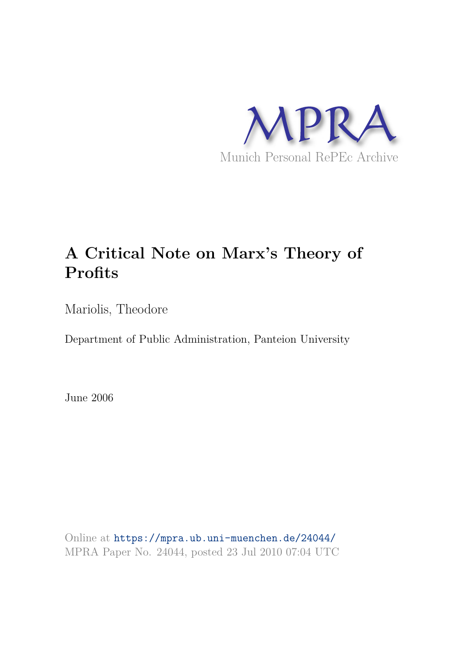

# **A Critical Note on Marx's Theory of Profits**

Mariolis, Theodore

Department of Public Administration, Panteion University

June 2006

Online at https://mpra.ub.uni-muenchen.de/24044/ MPRA Paper No. 24044, posted 23 Jul 2010 07:04 UTC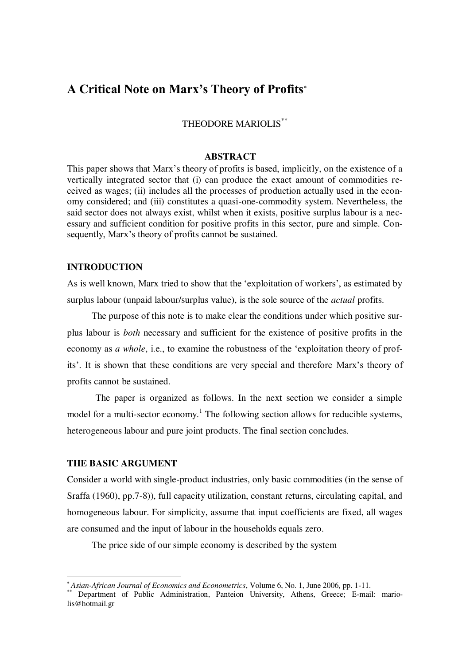# **A Critical Note on Marx's Theory of Profits**

THEODORE MARIOLIS**\*\***

#### **ABSTRACT**

This paper shows that Marx"s theory of profits is based, implicitly, on the existence of a vertically integrated sector that (i) can produce the exact amount of commodities received as wages; (ii) includes all the processes of production actually used in the economy considered; and (iii) constitutes a quasi-one-commodity system. Nevertheless, the said sector does not always exist, whilst when it exists, positive surplus labour is a necessary and sufficient condition for positive profits in this sector, pure and simple. Consequently, Marx's theory of profits cannot be sustained.

# **INTRODUCTION**

As is well known, Marx tried to show that the "exploitation of workers", as estimated by surplus labour (unpaid labour/surplus value), is the sole source of the *actual* profits.

 The purpose of this note is to make clear the conditions under which positive surplus labour is *both* necessary and sufficient for the existence of positive profits in the economy as *a whole*, i.e., to examine the robustness of the 'exploitation theory of profits'. It is shown that these conditions are very special and therefore Marx's theory of profits cannot be sustained.

 The paper is organized as follows. In the next section we consider a simple model for a multi-sector economy.<sup>1</sup> The following section allows for reducible systems, heterogeneous labour and pure joint products. The final section concludes*.* 

# **THE BASIC ARGUMENT**

 $\overline{a}$ 

Consider a world with single-product industries, only basic commodities (in the sense of Sraffa (1960), pp.7-8)), full capacity utilization, constant returns, circulating capital, and homogeneous labour. For simplicity, assume that input coefficients are fixed, all wages are consumed and the input of labour in the households equals zero.

The price side of our simple economy is described by the system

*Asian-African Journal of Economics and Econometrics*, Volume 6, No. 1, June 2006, pp. 1-11.

<sup>\*\*</sup> Department of Public Administration, Panteion University, Athens, Greece; Ε-mail: mariolis@hotmail.gr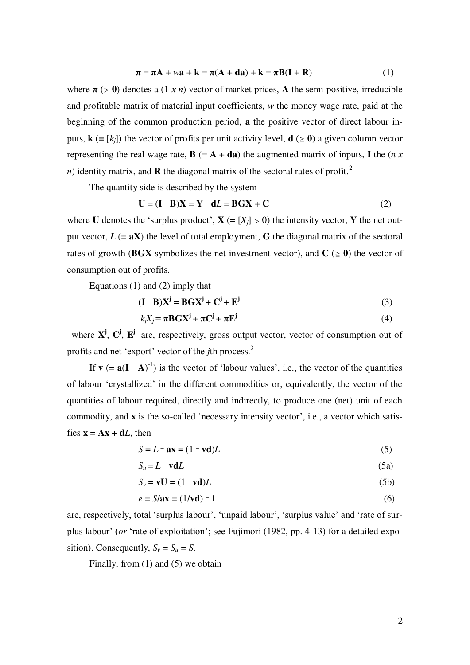$$
\pi = \pi A + w\mathbf{a} + \mathbf{k} = \pi(A + d\mathbf{a}) + \mathbf{k} = \pi B(\mathbf{I} + \mathbf{R})
$$
(1)

where  $\pi$  ( $> 0$ ) denotes a (1 *x n*) vector of market prices, A the semi-positive, irreducible and profitable matrix of material input coefficients, *w* the money wage rate, paid at the beginning of the common production period, **a** the positive vector of direct labour inputs,  $\mathbf{k}$  (=  $[k_i]$ ) the vector of profits per unit activity level,  $\mathbf{d}$  ( $\geq$  0) a given column vector representing the real wage rate,  $\mathbf{B} (= \mathbf{A} + \mathbf{d}\mathbf{a})$  the augmented matrix of inputs, **I** the (*n x*) *n*) identity matrix, and **R** the diagonal matrix of the sectoral rates of profit.<sup>2</sup>

The quantity side is described by the system

$$
\mathbf{U} = (\mathbf{I} - \mathbf{B})\mathbf{X} = \mathbf{Y} - \mathbf{d}L = \mathbf{B}\mathbf{G}\mathbf{X} + \mathbf{C}
$$
 (2)

where **U** denotes the 'surplus product',  $X = [X_i] > 0$ ) the intensity vector, Y the net output vector,  $L (= aX)$  the level of total employment, **G** the diagonal matrix of the sectoral rates of growth (BGX symbolizes the net investment vector), and  $C \ge 0$ ) the vector of consumption out of profits.

Equations (1) and (2) imply that

$$
(\mathbf{I} - \mathbf{B})\mathbf{X}^{\mathbf{j}} = \mathbf{B}\mathbf{G}\mathbf{X}^{\mathbf{j}} + \mathbf{C}^{\mathbf{j}} + \mathbf{E}^{\mathbf{j}}
$$
(3)

$$
k_j X_j = \pi \mathbf{B} \mathbf{G} \mathbf{X}^j + \pi \mathbf{C}^j + \pi \mathbf{E}^j
$$
 (4)

where  $X^j$ ,  $C^j$ ,  $E^j$  are, respectively, gross output vector, vector of consumption out of profits and net 'export' vector of the *j*th process.<sup>3</sup>

If  $\mathbf{v}$  (=  $\mathbf{a}(\mathbf{I} - \mathbf{A})^{-1}$ ) is the vector of 'labour values', i.e., the vector of the quantities of labour "crystallized" in the different commodities or, equivalently, the vector of the quantities of labour required, directly and indirectly, to produce one (net) unit of each commodity, and **x** is the so-called 'necessary intensity vector', i.e., a vector which satisfies  $\mathbf{x} = \mathbf{A}\mathbf{x} + \mathbf{d}L$ , then

$$
S = L - \mathbf{ax} = (1 - \mathbf{vd})L\tag{5}
$$

$$
S_u = L - \mathbf{v} \mathbf{d}L \tag{5a}
$$

$$
S_v = \mathbf{v} \mathbf{U} = (1 - \mathbf{v} \mathbf{d})L \tag{5b}
$$

$$
e = S/\mathbf{ax} = (1/\mathbf{vd}) - 1\tag{6}
$$

are, respectively, total 'surplus labour', 'unpaid labour', 'surplus value' and 'rate of surplus labour" (*or* "rate of exploitation"; see Fujimori (1982, pp. 4-13) for a detailed exposition). Consequently,  $S_v = S_u = S$ .

Finally, from (1) and (5) we obtain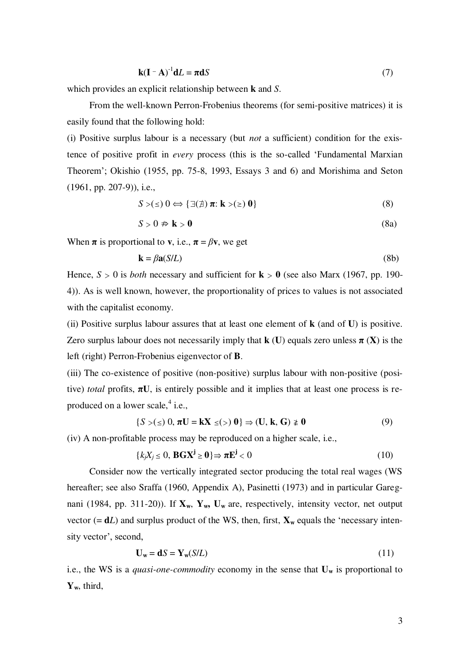$$
\mathbf{k}(\mathbf{I} - \mathbf{A})^{-1}\mathbf{d}L = \boldsymbol{\pi}\mathbf{d}S
$$
 (7)

which provides an explicit relationship between **k** and *S*.

 From the well-known Perron-Frobenius theorems (for semi-positive matrices) it is easily found that the following hold:

(i) Positive surplus labour is a necessary (but *not* a sufficient) condition for the existence of positive profit in *every* process (this is the so-called "Fundamental Marxian Theorem"; Okishio (1955, pp. 75-8, 1993, Essays 3 and 6) and Morishima and Seton (1961, pp. 207-9)), i.e.,

$$
S > (\le) 0 \Leftrightarrow {\exists (\nexists) \pi : \mathbf{k} > (\ge) 0}
$$
\n(8)

$$
S > 0 \nRightarrow \mathbf{k} > \mathbf{0}
$$
\n(8a)

When  $\pi$  is proportional to **v**, i.e.,  $\pi = \beta \mathbf{v}$ , we get

$$
\mathbf{k} = \beta \mathbf{a}(S/L) \tag{8b}
$$

Hence,  $S > 0$  is *both* necessary and sufficient for  $k > 0$  (see also Marx (1967, pp. 190-4)). As is well known, however, the proportionality of prices to values is not associated with the capitalist economy.

(ii) Positive surplus labour assures that at least one element of **k** (and of **U**) is positive. Zero surplus labour does not necessarily imply that  $k$  (U) equals zero unless  $\pi$  (**X**) is the left (right) Perron-Frobenius eigenvector of **B**.

(iii) The co-existence of positive (non-positive) surplus labour with non-positive (positive) *total* profits,  $\pi U$ , is entirely possible and it implies that at least one process is reproduced on a lower scale,<sup>4</sup> i.e.,

$$
\{S > (\leq) 0, \pi U = kX \leq (\geq) 0\} \Rightarrow (U, k, G) \geq 0 \tag{9}
$$

(iv) A non-profitable process may be reproduced on a higher scale, i.e.,

$$
\{k_j X_j \leq 0, \, \mathbf{B} \mathbf{G} \mathbf{X}^{\mathbf{j}} \geq \mathbf{0} \} \Rightarrow \boldsymbol{\pi} \mathbf{E}^{\mathbf{j}} < 0 \tag{10}
$$

 Consider now the vertically integrated sector producing the total real wages (WS hereafter; see also Sraffa (1960, Appendix A), Pasinetti (1973) and in particular Garegnani (1984, pp. 311-20)). If **Xw**, **Yw, Uw** are, respectively, intensity vector, net output vector  $(= dL)$  and surplus product of the WS, then, first,  $\mathbf{X}_w$  equals the 'necessary intensity vector', second,

$$
\mathbf{U}_{\mathbf{w}} = \mathbf{d}S = \mathbf{Y}_{\mathbf{w}}(S/L) \tag{11}
$$

i.e., the WS is a *quasi-one-commodity* economy in the sense that **U<sup>w</sup>** is proportional to **Yw**, third,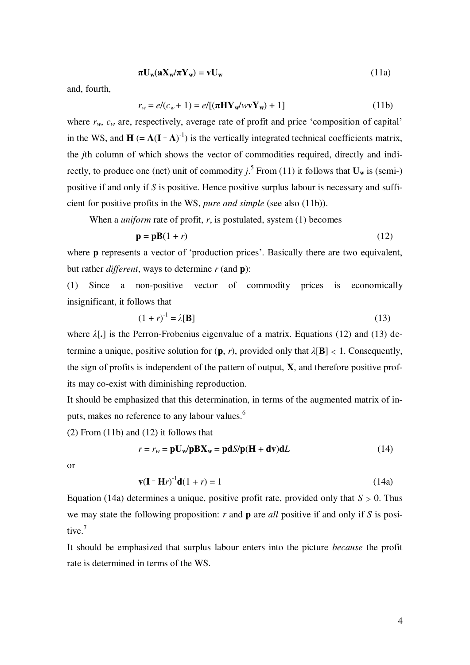$$
\pi U_w(aX_w/\pi Y_w) = vU_w \tag{11a}
$$

and, fourth,

$$
r_w = e/(c_w + 1) = e/[(\pi HY_w/wvY_w) + 1]
$$
\n(11b)

where  $r_w$ ,  $c_w$  are, respectively, average rate of profit and price 'composition of capital' in the WS, and  $\mathbf{H} = \mathbf{A}(\mathbf{I} - \mathbf{A})^{-1}$  is the vertically integrated technical coefficients matrix, the *j*th column of which shows the vector of commodities required, directly and indirectly, to produce one (net) unit of commodity  $j$ .<sup>5</sup> From (11) it follows that  $U_w$  is (semi-) positive if and only if *S* is positive. Hence positive surplus labour is necessary and sufficient for positive profits in the WS, *pure and simple* (see also (11b)).

When a *uniform* rate of profit, *r*, is postulated, system (1) becomes

$$
\mathbf{p} = \mathbf{p}\mathbf{B}(1+r) \tag{12}
$$

where **p** represents a vector of 'production prices'. Basically there are two equivalent, but rather *different*, ways to determine *r* (and **p**):

(1) Since a non-positive vector of commodity prices is economically insignificant, it follows that

$$
(1+r)^{-1} = \lambda[\mathbf{B}] \tag{13}
$$

where *λ*[**.**] is the Perron-Frobenius eigenvalue of a matrix. Equations (12) and (13) determine a unique, positive solution for  $(\mathbf{p}, r)$ , provided only that  $\lambda[\mathbf{B}] < 1$ . Consequently, the sign of profits is independent of the pattern of output, **X**, and therefore positive profits may co-exist with diminishing reproduction.

It should be emphasized that this determination, in terms of the augmented matrix of inputs, makes no reference to any labour values.<sup>6</sup>

(2) From (11b) and (12) it follows that

$$
r = r_w = \mathbf{p} \mathbf{U}_w / \mathbf{p} \mathbf{B} \mathbf{X}_w = \mathbf{p} \mathbf{d} S / \mathbf{p} (\mathbf{H} + \mathbf{d} \mathbf{v}) \mathbf{d} L \tag{14}
$$

or

$$
\mathbf{v}(\mathbf{I} - \mathbf{H}r)^{-1}\mathbf{d}(1+r) = 1\tag{14a}
$$

Equation (14a) determines a unique, positive profit rate, provided only that  $S > 0$ . Thus we may state the following proposition: *r* and **p** are *all* positive if and only if *S* is positive.<sup>7</sup>

It should be emphasized that surplus labour enters into the picture *because* the profit rate is determined in terms of the WS.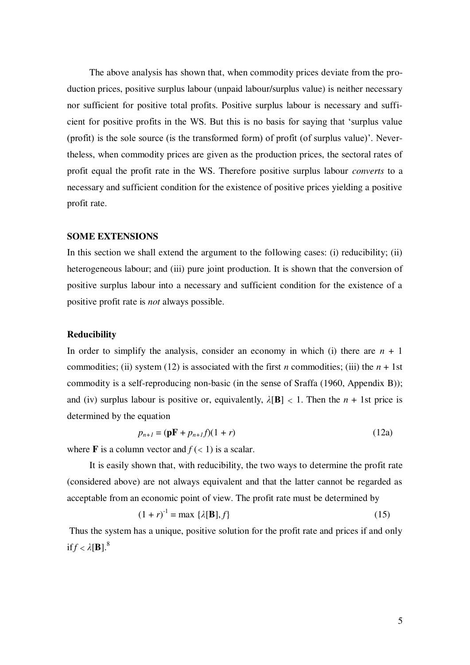The above analysis has shown that, when commodity prices deviate from the production prices, positive surplus labour (unpaid labour/surplus value) is neither necessary nor sufficient for positive total profits. Positive surplus labour is necessary and sufficient for positive profits in the WS. But this is no basis for saying that "surplus value (profit) is the sole source (is the transformed form) of profit (of surplus value)". Nevertheless, when commodity prices are given as the production prices, the sectoral rates of profit equal the profit rate in the WS. Therefore positive surplus labour *converts* to a necessary and sufficient condition for the existence of positive prices yielding a positive profit rate.

#### **SOME EXTENSIONS**

In this section we shall extend the argument to the following cases: (i) reducibility; (ii) heterogeneous labour; and (iii) pure joint production. It is shown that the conversion of positive surplus labour into a necessary and sufficient condition for the existence of a positive profit rate is *not* always possible.

# **Reducibility**

In order to simplify the analysis, consider an economy in which (i) there are  $n + 1$ commodities; (ii) system (12) is associated with the first *n* commodities; (iii) the  $n + 1$ st commodity is a self-reproducing non-basic (in the sense of Sraffa (1960, Appendix B)); and (iv) surplus labour is positive or, equivalently,  $\lambda[\mathbf{B}] < 1$ . Then the  $n + 1$ st price is determined by the equation

$$
p_{n+1} = (\mathbf{p} \mathbf{F} + p_{n+1}f)(1+r) \tag{12a}
$$

where **F** is a column vector and  $f \times 1$  is a scalar.

 It is easily shown that, with reducibility, the two ways to determine the profit rate (considered above) are not always equivalent and that the latter cannot be regarded as acceptable from an economic point of view. The profit rate must be determined by

$$
(1+r)^{-1} = \max \{\lambda[\mathbf{B}], f\} \tag{15}
$$

 Thus the system has a unique, positive solution for the profit rate and prices if and only if  $f < \lambda$ [**B**].<sup>8</sup>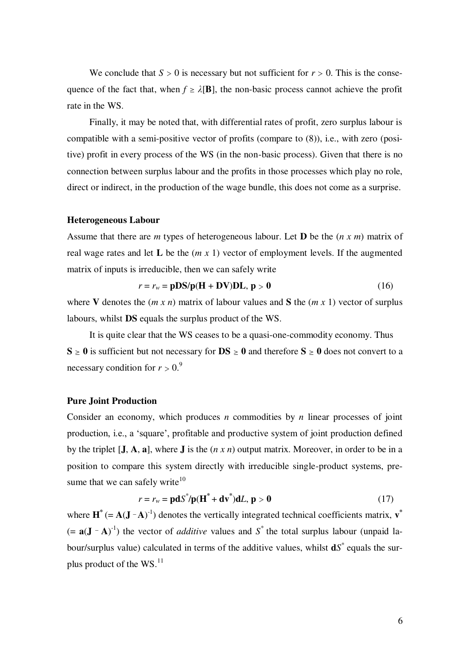We conclude that  $S > 0$  is necessary but not sufficient for  $r > 0$ . This is the consequence of the fact that, when  $f \ge \lambda[\mathbf{B}]$ , the non-basic process cannot achieve the profit rate in the WS.

 Finally, it may be noted that, with differential rates of profit, zero surplus labour is compatible with a semi-positive vector of profits (compare to (8)), i.e., with zero (positive) profit in every process of the WS (in the non-basic process). Given that there is no connection between surplus labour and the profits in those processes which play no role, direct or indirect, in the production of the wage bundle, this does not come as a surprise.

# **Heterogeneous Labour**

Assume that there are *m* types of heterogeneous labour. Let **D** be the (*n x m*) matrix of real wage rates and let **L** be the (*m x* 1) vector of employment levels. If the augmented matrix of inputs is irreducible, then we can safely write

$$
r = r_w = \mathbf{pDS/p}(\mathbf{H} + \mathbf{DV})\mathbf{DL}, \mathbf{p} > 0 \tag{16}
$$

where **V** denotes the  $(m \times n)$  matrix of labour values and **S** the  $(m \times 1)$  vector of surplus labours, whilst **DS** equals the surplus product of the WS.

 It is quite clear that the WS ceases to be a quasi-one-commodity economy. Thus  $S \ge 0$  is sufficient but not necessary for  $DS \ge 0$  and therefore  $S \ge 0$  does not convert to a necessary condition for  $r > 0$ .<sup>9</sup>

#### **Pure Joint Production**

Consider an economy, which produces *n* commodities by *n* linear processes of joint production, i.e., a "square", profitable and productive system of joint production defined by the triplet [**J**, **A**, **a**], where **J** is the (*n x n*) output matrix. Moreover, in order to be in a position to compare this system directly with irreducible single-product systems, presume that we can safely write $10$ 

$$
r = r_w = \mathbf{p} \mathbf{d} S^* / \mathbf{p} (\mathbf{H}^* + \mathbf{d} \mathbf{v}^*) \mathbf{d} L, \, \mathbf{p} > \mathbf{0} \tag{17}
$$

where  $\mathbf{H}^*$  (=  $\mathbf{A}(\mathbf{J} - \mathbf{A})^{-1}$ ) denotes the vertically integrated technical coefficients matrix,  $\mathbf{v}^*$  $(= a(J - A)^{-1})$  the vector of *additive* values and S<sup>\*</sup> the total surplus labour (unpaid labour/surplus value) calculated in terms of the additive values, whilst **d***S \** equals the surplus product of the  $\text{WS}$ .<sup>11</sup>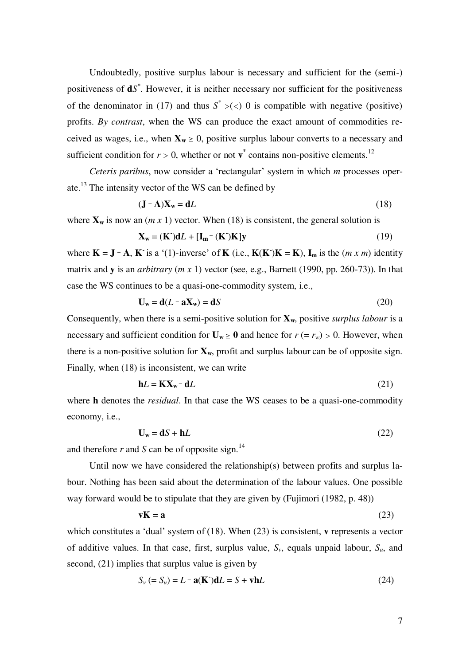Undoubtedly, positive surplus labour is necessary and sufficient for the (semi-) positiveness of **d***S \** . However, it is neither necessary nor sufficient for the positiveness of the denominator in (17) and thus  $S^* > ()$  0 is compatible with negative (positive) profits. *By contrast*, when the WS can produce the exact amount of commodities received as wages, i.e., when  $X_w \ge 0$ , positive surplus labour converts to a necessary and sufficient condition for  $r > 0$ , whether or not  $\mathbf{v}^*$  contains non-positive elements.<sup>12</sup>

 *Ceteris paribus*, now consider a "rectangular" system in which *m* processes operate.<sup>13</sup> The intensity vector of the WS can be defined by

$$
(\mathbf{J} - \mathbf{A})\mathbf{X}_{\mathbf{w}} = \mathbf{d}L\tag{18}
$$

where  $\mathbf{X}_{\mathbf{w}}$  is now an  $(m \times 1)$  vector. When (18) is consistent, the general solution is

$$
\mathbf{X}_{\mathbf{w}} = (\mathbf{K}^{\cdot})\mathbf{d}L + [\mathbf{I}_{\mathbf{m}}^{-}(\mathbf{K}^{\cdot})\mathbf{K}]\mathbf{y}
$$
(19)

where  $\mathbf{K} = \mathbf{J} - \mathbf{A}$ ,  $\mathbf{K}$  is a '(1)-inverse' of  $\mathbf{K}$  (i.e.,  $\mathbf{K}(\mathbf{K})\mathbf{K} = \mathbf{K}$ ),  $\mathbf{I}_m$  is the  $(m \times m)$  identity matrix and **y** is an *arbitrary* (*m x* 1) vector (see, e.g., Barnett (1990, pp. 260-73)). In that case the WS continues to be a quasi-one-commodity system, i.e.,

$$
\mathbf{U}_{\mathbf{w}} = \mathbf{d}(L - \mathbf{a}\mathbf{X}_{\mathbf{w}}) = \mathbf{d}S
$$
 (20)

Consequently, when there is a semi-positive solution for  $X_w$ , positive *surplus labour* is a necessary and sufficient condition for  $U_w \ge 0$  and hence for  $r (= r_w) > 0$ . However, when there is a non-positive solution for  $\mathbf{X}_{w}$ , profit and surplus labour can be of opposite sign. Finally, when (18) is inconsistent, we can write

$$
\mathbf{h}L = \mathbf{K} \mathbf{X}_{\mathbf{w}} - \mathbf{d}L \tag{21}
$$

where **h** denotes the *residual*. In that case the WS ceases to be a quasi-one-commodity economy, i.e.,

$$
U_w = dS + hL
$$
 (22)

and therefore  $r$  and  $S$  can be of opposite sign.<sup>14</sup>

 Until now we have considered the relationship(s) between profits and surplus labour. Nothing has been said about the determination of the labour values. One possible way forward would be to stipulate that they are given by (Fujimori (1982, p. 48))

$$
vK = a \tag{23}
$$

which constitutes a "dual" system of (18). When (23) is consistent, **v** represents a vector of additive values. In that case, first, surplus value, *Sv*, equals unpaid labour, *Su*, and second, (21) implies that surplus value is given by

$$
S_v (= S_u) = L - \mathbf{a}(\mathbf{K})\mathbf{d}L = S + \mathbf{v}\mathbf{h}L
$$
 (24)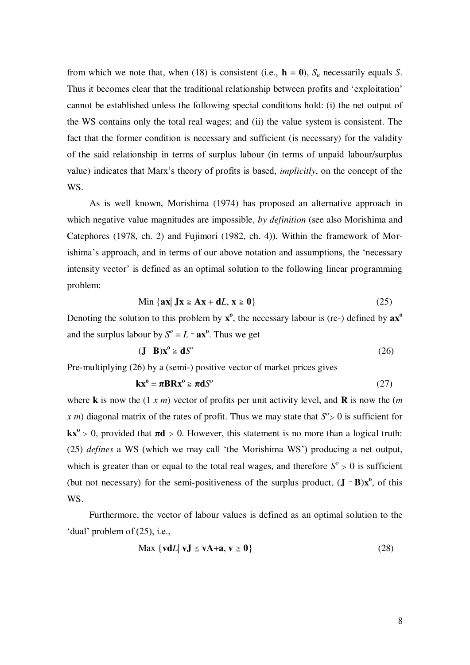from which we note that, when (18) is consistent (i.e.,  $\mathbf{h} = \mathbf{0}$ ),  $S_u$  necessarily equals *S*. Thus it becomes clear that the traditional relationship between profits and "exploitation" cannot be established unless the following special conditions hold: (i) the net output of the WS contains only the total real wages; and (ii) the value system is consistent. The fact that the former condition is necessary and sufficient (is necessary) for the validity of the said relationship in terms of surplus labour (in terms of unpaid labour/surplus value) indicates that Marx"s theory of profits is based, *implicitly*, on the concept of the WS.

 As is well known, Morishima (1974) has proposed an alternative approach in which negative value magnitudes are impossible, *by definition* (see also Morishima and Catephores (1978, ch. 2) and Fujimori (1982, ch. 4)). Within the framework of Morishima"s approach, and in terms of our above notation and assumptions, the "necessary intensity vector' is defined as an optimal solution to the following linear programming problem:

$$
\text{Min } \{ \mathbf{ax} | \mathbf{Jx} \ge \mathbf{Ax} + \mathbf{d}L, \mathbf{x} \ge \mathbf{0} \} \tag{25}
$$

Denoting the solution to this problem by  $x^0$ , the necessary labour is (re-) defined by  $ax^0$ and the surplus labour by  $S^{\circ} = L - ax^{\circ}$ . Thus we get

$$
(\mathbf{J} - \mathbf{B})\mathbf{x}^{\mathbf{0}} \ge \mathbf{d}S^{\mathbf{0}} \tag{26}
$$

Pre-multiplying (26) by a (semi-) positive vector of market prices gives

$$
kx^{\circ} = \pi BRx^{\circ} \geq \pi dS^{\circ}
$$
 (27)

where **k** is now the (1 *x m*) vector of profits per unit activity level, and **R** is now the (*m*  x m) diagonal matrix of the rates of profit. Thus we may state that  $S^{\circ} > 0$  is sufficient for  $kx^{\circ} > 0$ , provided that  $\pi d > 0$ . However, this statement is no more than a logical truth: (25) *defines* a WS (which we may call "the Morishima WS") producing a net output, which is greater than or equal to the total real wages, and therefore  $S^{\circ} > 0$  is sufficient (but not necessary) for the semi-positiveness of the surplus product,  $(\mathbf{J} - \mathbf{B})\mathbf{x}^{\mathbf{0}}$ , of this WS.

 Furthermore, the vector of labour values is defined as an optimal solution to the 'dual' problem of  $(25)$ , i.e.,

$$
\text{Max } \{ \mathbf{v} \mathbf{d} \mathbf{L} \mid \mathbf{v} \mathbf{J} \le \mathbf{v} \mathbf{A} + \mathbf{a}, \mathbf{v} \ge \mathbf{0} \}
$$
 (28)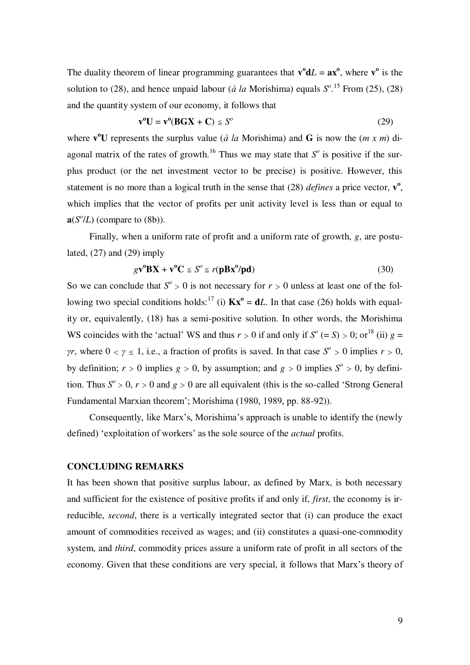The duality theorem of linear programming guarantees that  $\mathbf{v}^{\circ}dL = \mathbf{a}\mathbf{x}^{\circ}$ , where  $\mathbf{v}^{\circ}$  is the solution to (28), and hence unpaid labour ( $\dot{a}$  la Morishima) equals  $S^{\circ}$ .<sup>15</sup> From (25), (28) and the quantity system of our economy, it follows that

$$
\mathbf{v}^0 \mathbf{U} = \mathbf{v}^0 (\mathbf{B} \mathbf{G} \mathbf{X} + \mathbf{C}) \leq \mathbf{S}^o \tag{29}
$$

where  $\mathbf{v}^0 \mathbf{U}$  represents the surplus value (*à la* Morishima) and **G** is now the (*m x m*) diagonal matrix of the rates of growth.<sup>16</sup> Thus we may state that  $S<sup>o</sup>$  is positive if the surplus product (or the net investment vector to be precise) is positive. However, this statement is no more than a logical truth in the sense that  $(28)$  *defines* a price vector,  $\mathbf{v}^0$ , which implies that the vector of profits per unit activity level is less than or equal to  $\mathbf{a}(S^{\circ}/L)$  (compare to (8b)).

 Finally, when a uniform rate of profit and a uniform rate of growth, *g*, are postulated,  $(27)$  and  $(29)$  imply

$$
g\mathbf{v}^{\mathbf{0}}\mathbf{B}\mathbf{X} + \mathbf{v}^{\mathbf{0}}\mathbf{C} \leq S^{\circ} \leq r(\mathbf{p}\mathbf{B}\mathbf{x}^{\mathbf{0}}/\mathbf{p}\mathbf{d})
$$
 (30)

So we can conclude that  $S^{\circ} > 0$  is not necessary for  $r > 0$  unless at least one of the following two special conditions holds:<sup>17</sup> (i)  $\mathbf{Kx}^{\circ} = \mathbf{d}L$ . In that case (26) holds with equality or, equivalently, (18) has a semi-positive solution. In other words, the Morishima WS coincides with the 'actual' WS and thus  $r > 0$  if and only if  $S^{\circ}$  (= S) > 0; or<sup>18</sup> (ii)  $g =$ *γr*, where  $0 < y \le 1$ , i.e., a fraction of profits is saved. In that case  $S^{\circ} > 0$  implies  $r > 0$ , by definition;  $r > 0$  implies  $g > 0$ , by assumption; and  $g > 0$  implies  $S^{\circ} > 0$ , by definition. Thus  $S^{\circ} > 0$ ,  $r > 0$  and  $g > 0$  are all equivalent (this is the so-called 'Strong General Fundamental Marxian theorem"; Morishima (1980, 1989, pp. 88-92)).

Consequently, like Marx's, Morishima's approach is unable to identify the (newly defined) "exploitation of workers" as the sole source of the *actual* profits.

# **CONCLUDING REMARKS**

It has been shown that positive surplus labour, as defined by Marx, is both necessary and sufficient for the existence of positive profits if and only if, *first*, the economy is irreducible, *second*, there is a vertically integrated sector that (i) can produce the exact amount of commodities received as wages; and (ii) constitutes a quasi-one-commodity system, and *third*, commodity prices assure a uniform rate of profit in all sectors of the economy. Given that these conditions are very special, it follows that Marx's theory of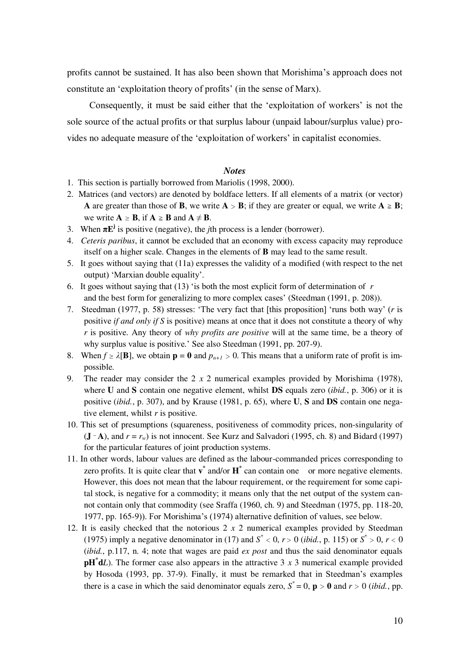profits cannot be sustained. It has also been shown that Morishima"s approach does not constitute an 'exploitation theory of profits' (in the sense of Marx).

Consequently, it must be said either that the 'exploitation of workers' is not the sole source of the actual profits or that surplus labour (unpaid labour/surplus value) provides no adequate measure of the 'exploitation of workers' in capitalist economies.

#### *Notes*

1. This section is partially borrowed from Mariolis (1998, 2000).

- 2. Matrices (and vectors) are denoted by boldface letters. If all elements of a matrix (or vector) **A** are greater than those of **B**, we write  $A > B$ ; if they are greater or equal, we write  $A \ge B$ ; we write  $A \geq B$ , if  $A \geq B$  and  $A \neq B$ .
- 3. When  $\pi E^j$  is positive (negative), the *j*th process is a lender (borrower).
- 4. *Ceteris paribus*, it cannot be excluded that an economy with excess capacity may reproduce itself on a higher scale. Changes in the elements of **B** may lead to the same result.
- 5. It goes without saying that (11a) expresses the validity of a modified (with respect to the net output) "Marxian double equality".
- 6. It goes without saying that (13) "is both the most explicit form of determination of *r* and the best form for generalizing to more complex cases' (Steedman (1991, p. 208)).
- 7. Steedman (1977, p. 58) stresses: "The very fact that [this proposition] "runs both way" (*r* is positive *if and only if S* is positive) means at once that it does not constitute a theory of why *r* is positive. Any theory of *why profits are positive* will at the same time, be a theory of why surplus value is positive.' See also Steedman (1991, pp. 207-9).
- 8. When  $f \ge \lambda[\mathbf{B}]$ , we obtain  $\mathbf{p} = \mathbf{0}$  and  $p_{n+1} > 0$ . This means that a uniform rate of profit is impossible.
- 9. The reader may consider the 2 *x* 2 numerical examples provided by Morishima (1978), where **U** and **S** contain one negative element, whilst **DS** equals zero (*ibid.*, p. 306) or it is positive (*ibid.*, p. 307), and by Krause (1981, p. 65), where **U**, **S** and **DS** contain one negative element, whilst *r* is positive.
- 10. This set of presumptions (squareness, positiveness of commodity prices, non-singularity of  $({\bf J} - {\bf A})$ , and  $r = r_w$ ) is not innocent. See Kurz and Salvadori (1995, ch. 8) and Bidard (1997) for the particular features of joint production systems.
- 11. In other words, labour values are defined as the labour-commanded prices corresponding to zero profits. It is quite clear that  $\mathbf{v}^*$  and/or  $\mathbf{H}^*$  can contain one or more negative elements. However, this does not mean that the labour requirement, or the requirement for some capital stock, is negative for a commodity; it means only that the net output of the system cannot contain only that commodity (see Sraffa (1960, ch. 9) and Steedman (1975, pp. 118-20, 1977, pp. 165-9)). For Morishima"s (1974) alternative definition of values, see below.
- 12. It is easily checked that the notorious 2 *x* 2 numerical examples provided by Steedman (1975) imply a negative denominator in (17) and  $S^* < 0$ ,  $r > 0$  (*ibid.*, p. 115) or  $S^* > 0$ ,  $r < 0$ (*ibid.*, p.117, n. 4; note that wages are paid *ex post* and thus the said denominator equals  $\mathbf{p} \mathbf{H}^* \mathbf{d} L$ ). The former case also appears in the attractive 3 *x* 3 numerical example provided by Hosoda (1993, pp. 37-9). Finally, it must be remarked that in Steedman"s examples there is a case in which the said denominator equals zero,  $S^* = 0$ ,  $p > 0$  and  $r > 0$  (*ibid.*, pp.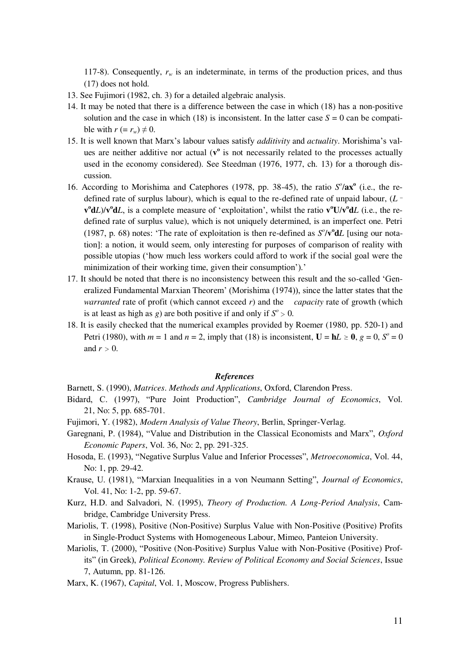117-8). Consequently,  $r_w$  is an indeterminate, in terms of the production prices, and thus (17) does not hold.

13. See Fujimori (1982, ch. 3) for a detailed algebraic analysis.

- 14. It may be noted that there is a difference between the case in which (18) has a non-positive solution and the case in which (18) is inconsistent. In the latter case  $S = 0$  can be compatible with  $r (= r_w) \neq 0$ .
- 15. It is well known that Marx"s labour values satisfy *additivity* and *actuality*. Morishima"s values are neither additive nor actual ( $v^{\circ}$  is not necessarily related to the processes actually used in the economy considered). See Steedman (1976, 1977, ch. 13) for a thorough discussion.
- 16. According to Morishima and Catephores (1978, pp. 38-45), the ratio  $S^o/\mathbf{ax}^o$  (i.e., the redefined rate of surplus labour), which is equal to the re-defined rate of unpaid labour, (*L \_*  **v**<sup>o</sup>**d***L*)/**v**<sup>o</sup>**d***L*, is a complete measure of 'exploitation', whilst the ratio **v**<sup>o</sup>**U**/**v**<sup>o</sup>**d***L* (i.e., the redefined rate of surplus value), which is not uniquely determined, is an imperfect one. Petri (1987, p. 68) notes: 'The rate of exploitation is then re-defined as  $S^0/\mathbf{v}^0 \mathbf{d}L$  [using our notation]: a notion, it would seem, only interesting for purposes of comparison of reality with possible utopias ("how much less workers could afford to work if the social goal were the minimization of their working time, given their consumption').'
- 17. It should be noted that there is no inconsistency between this result and the so-called "Generalized Fundamental Marxian Theorem" (Morishima (1974)), since the latter states that the *warranted* rate of profit (which cannot exceed *r*) and the *capacity* rate of growth (which is at least as high as  $g$ ) are both positive if and only if  $S^{\circ} > 0$ .
- 18. It is easily checked that the numerical examples provided by Roemer (1980, pp. 520-1) and Petri (1980), with  $m = 1$  and  $n = 2$ , imply that (18) is inconsistent,  $U = hL \ge 0$ ,  $g = 0$ ,  $S^{\circ} = 0$ and  $r > 0$ .

#### *References*

Barnett, S. (1990), *Matrices*. *Methods and Applications*, Oxford, Clarendon Press.

- Bidard, C. (1997), "Pure Joint Production", *Cambridge Journal of Economics*, Vol. 21, No: 5, pp. 685-701.
- Fujimori, Y. (1982), *Modern Analysis of Value Theory*, Berlin, Springer-Verlag.
- Garegnani, P. (1984), "Value and Distribution in the Classical Economists and Marx", *Oxford Economic Papers*, Vol. 36, No: 2, pp. 291-325.
- Hosoda, E. (1993), "Negative Surplus Value and Inferior Processes", *Metroeconomica*, Vol. 44, No: 1, pp. 29-42.
- Krause, U. (1981), "Marxian Inequalities in a von Neumann Setting", *Journal of Economics*, Vol. 41, No: 1-2, pp. 59-67.
- Kurz, H.D. and Salvadori, N. (1995), *Theory of Production. A Long-Period Analysis*, Cambridge, Cambridge University Press.
- Mariolis, T. (1998), Positive (Non-Positive) Surplus Value with Non-Positive (Positive) Profits in Single-Product Systems with Homogeneous Labour, Mimeo, Panteion University.
- Mariolis, T. (2000), "Positive (Non-Positive) Surplus Value with Non-Positive (Positive) Profits" (in Greek), *Political Economy. Review of Political Economy and Social Sciences*, Issue 7, Autumn, pp. 81-126.
- Marx, K. (1967), *Capital*, Vol. 1, Moscow, Progress Publishers.